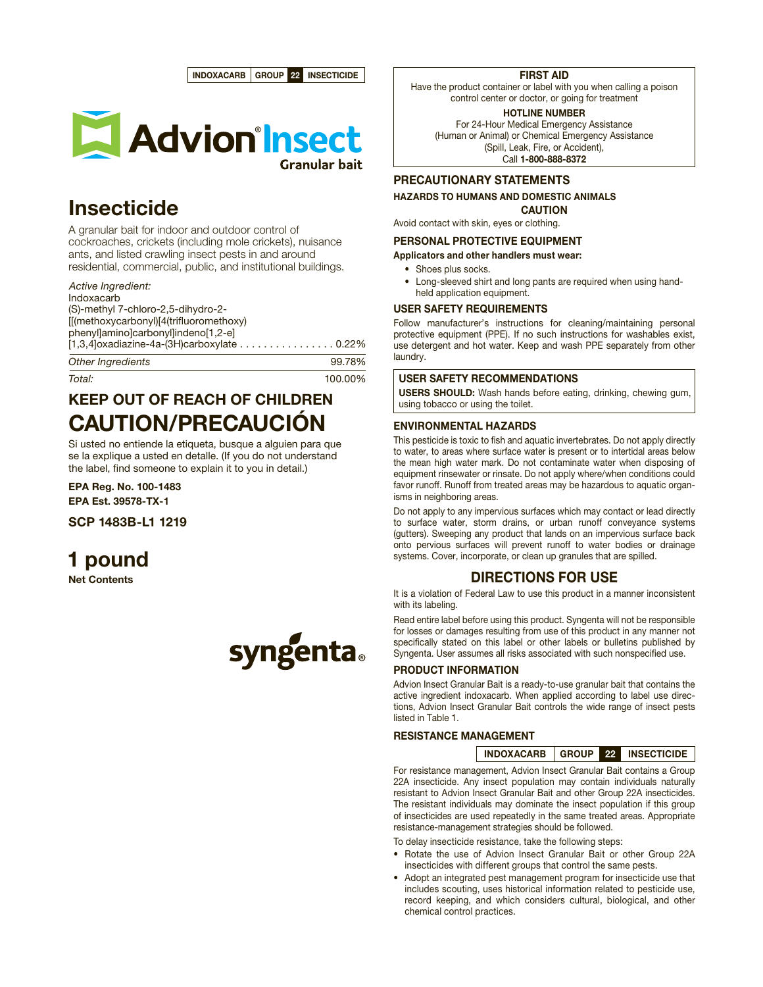



# Insecticide

A granular bait for indoor and outdoor control of cockroaches, crickets (including mole crickets), nuisance ants, and listed crawling insect pests in and around residential, commercial, public, and institutional buildings.

*Active Ingredient:* Indoxacarb (S)-methyl 7-chloro-2,5-dihydro-2- [[(methoxycarbonyl)[4(trifluoromethoxy) phenyllaminolcarbonyllindeno<sup>[1,2-e]</sup> [1,3,4]oxadiazine-4a-(3H)carboxylate . . . . . . . . . . . . . . . . 0.22% **Other Ingredients** 99.78%

*Total:* 100.00%

# KEEP OUT OF REACH OF CHILDREN CAUTION/PRECAUCIÓN

Si usted no entiende la etiqueta, busque a alguien para que se la explique a usted en detalle. (If you do not understand the label, find someone to explain it to you in detail.)

EPA Reg. No. 100-1483 EPA Est. 39578-TX-1

SCP 1483B-L1 1219

# 1 pound

Net Contents



## FIRST AID

Have the product container or label with you when calling a poison control center or doctor, or going for treatment

HOTLINE NUMBER

For 24-Hour Medical Emergency Assistance (Human or Animal) or Chemical Emergency Assistance (Spill, Leak, Fire, or Accident), Call 1-800-888-8372

# PRECAUTIONARY STATEMENTS

HAZARDS TO HUMANS AND DOMESTIC ANIMALS

CAUTION Avoid contact with skin, eyes or clothing.

PERSONAL PROTECTIVE EQUIPMENT

Applicators and other handlers must wear:

- Shoes plus socks.
- Long-sleeved shirt and long pants are required when using handheld application equipment.

# USER SAFETY REQUIREMENTS

Follow manufacturer's instructions for cleaning/maintaining personal protective equipment (PPE). If no such instructions for washables exist, use detergent and hot water. Keep and wash PPE separately from other laundry.

## USER SAFETY RECOMMENDATIONS

USERS SHOULD: Wash hands before eating, drinking, chewing gum, using tobacco or using the toilet.

## ENVIRONMENTAL HAZARDS

This pesticide is toxic to fish and aquatic invertebrates. Do not apply directly to water, to areas where surface water is present or to intertidal areas below the mean high water mark. Do not contaminate water when disposing of equipment rinsewater or rinsate. Do not apply where/when conditions could favor runoff. Runoff from treated areas may be hazardous to aquatic organisms in neighboring areas.

Do not apply to any impervious surfaces which may contact or lead directly to surface water, storm drains, or urban runoff conveyance systems (gutters). Sweeping any product that lands on an impervious surface back onto pervious surfaces will prevent runoff to water bodies or drainage systems. Cover, incorporate, or clean up granules that are spilled.

# DIRECTIONS FOR USE

It is a violation of Federal Law to use this product in a manner inconsistent with its labeling.

Read entire label before using this product. Syngenta will not be responsible for losses or damages resulting from use of this product in any manner not specifically stated on this label or other labels or bulletins published by Syngenta. User assumes all risks associated with such nonspecified use.

# PRODUCT INFORMATION

Advion Insect Granular Bait is a ready-to-use granular bait that contains the active ingredient indoxacarb. When applied according to label use directions, Advion Insect Granular Bait controls the wide range of insect pests listed in Table 1.

### RESISTANCE MANAGEMENT

INDOXACARB GROUP 22 INSECTICIDE

For resistance management, Advion Insect Granular Bait contains a Group 22A insecticide. Any insect population may contain individuals naturally resistant to Advion Insect Granular Bait and other Group 22A insecticides. The resistant individuals may dominate the insect population if this group of insecticides are used repeatedly in the same treated areas. Appropriate resistance-management strategies should be followed.

To delay insecticide resistance, take the following steps:

- Rotate the use of Advion Insect Granular Bait or other Group 22A insecticides with different groups that control the same pests.
- Adopt an integrated pest management program for insecticide use that includes scouting, uses historical information related to pesticide use, record keeping, and which considers cultural, biological, and other chemical control practices.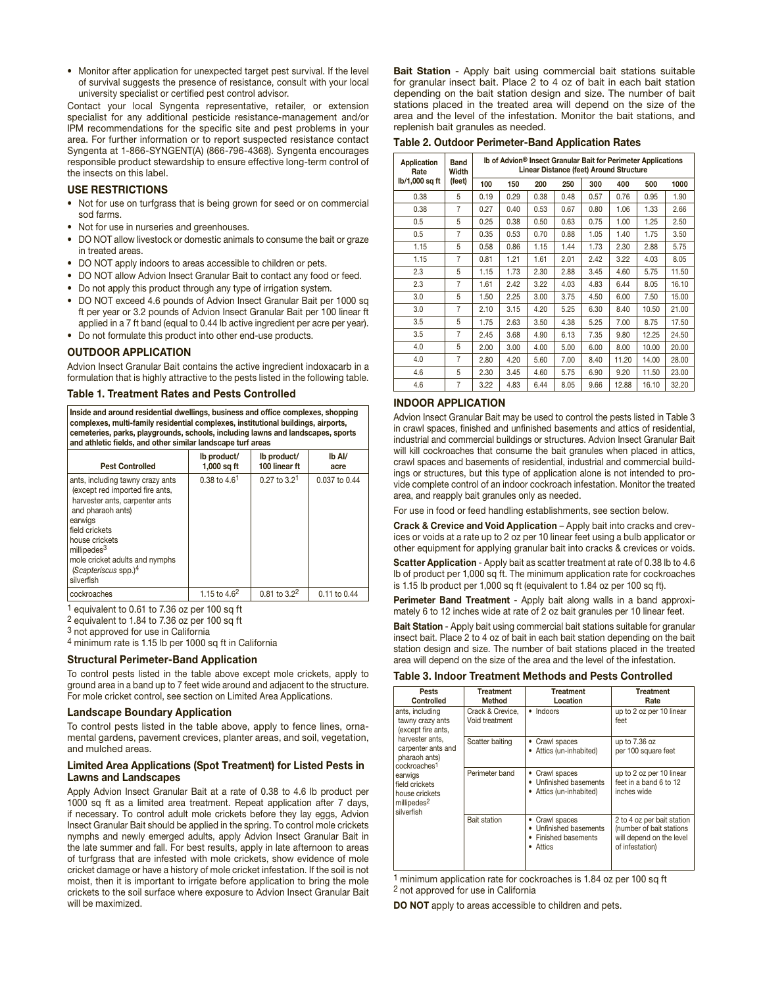• Monitor after application for unexpected target pest survival. If the level of survival suggests the presence of resistance, consult with your local university specialist or certified pest control advisor.

Contact your local Syngenta representative, retailer, or extension specialist for any additional pesticide resistance-management and/or IPM recommendations for the specific site and pest problems in your area. For further information or to report suspected resistance contact Syngenta at 1-866-SYNGENT(A) (866-796-4368). Syngenta encourages responsible product stewardship to ensure effective long-term control of the insects on this label.

#### USE RESTRICTIONS

- Not for use on turfgrass that is being grown for seed or on commercial sod farms.
- Not for use in nurseries and greenhouses.
- DO NOT allow livestock or domestic animals to consume the bait or graze in treated areas.
- DO NOT apply indoors to areas accessible to children or pets.
- DO NOT allow Advion Insect Granular Bait to contact any food or feed.
- Do not apply this product through any type of irrigation system.
- • DO NOT exceed 4.6 pounds of Advion Insect Granular Bait per 1000 sq ft per year or 3.2 pounds of Advion Insect Granular Bait per 100 linear ft applied in a 7 ft band (equal to 0.44 lb active ingredient per acre per year).
- Do not formulate this product into other end-use products.

#### OUTDOOR APPLICATION

Advion Insect Granular Bait contains the active ingredient indoxacarb in a formulation that is highly attractive to the pests listed in the following table.

#### Table 1. Treatment Rates and Pests Controlled

Inside and around residential dwellings, business and office complexes, shopping complexes, multi-family residential complexes, institutional buildings, airports, cemeteries, parks, playgrounds, schools, including lawns and landscapes, sports and athletic fields, and other similar landscape turf areas

| <b>Pest Controlled</b>                                                                                                                                                                                                                                                          | lb product/<br>$1,000$ sq ft | lb product/<br>100 linear ft | Ib Al/<br>acre |
|---------------------------------------------------------------------------------------------------------------------------------------------------------------------------------------------------------------------------------------------------------------------------------|------------------------------|------------------------------|----------------|
| ants, including tawny crazy ants<br>(except red imported fire ants,<br>harvester ants, carpenter ants<br>and pharaoh ants)<br>earwigs<br>field crickets<br>house crickets<br>millipedes <sup>3</sup><br>mole cricket adults and nymphs<br>(Scapteriscus spp.) $4$<br>silverfish | $0.38$ to $4.61$             | $0.27$ to $3.21$             | 0.037 to 0.44  |
| cockroaches                                                                                                                                                                                                                                                                     | 1.15 to $4.62$               | $0.81$ to $3.2^2$            | 0.11 to 0.44   |

1 equivalent to 0.61 to 7.36 oz per 100 sq ft

2 equivalent to 1.84 to 7.36 oz per 100 sq ft

3 not approved for use in California

4 minimum rate is 1.15 lb per 1000 sq ft in California

#### Structural Perimeter-Band Application

To control pests listed in the table above except mole crickets, apply to ground area in a band up to 7 feet wide around and adjacent to the structure. For mole cricket control, see section on Limited Area Applications.

#### Landscape Boundary Application

To control pests listed in the table above, apply to fence lines, ornamental gardens, pavement crevices, planter areas, and soil, vegetation, and mulched areas.

#### Limited Area Applications (Spot Treatment) for Listed Pests in Lawns and Landscapes

Apply Advion Insect Granular Bait at a rate of 0.38 to 4.6 lb product per 1000 sq ft as a limited area treatment. Repeat application after 7 days, if necessary. To control adult mole crickets before they lay eggs, Advion Insect Granular Bait should be applied in the spring. To control mole crickets nymphs and newly emerged adults, apply Advion Insect Granular Bait in the late summer and fall. For best results, apply in late afternoon to areas of turfgrass that are infested with mole crickets, show evidence of mole cricket damage or have a history of mole cricket infestation. If the soil is not moist, then it is important to irrigate before application to bring the mole crickets to the soil surface where exposure to Advion Insect Granular Bait will be maximized.

**Bait Station** - Apply bait using commercial bait stations suitable for granular insect bait. Place 2 to 4 oz of bait in each bait station depending on the bait station design and size. The number of bait stations placed in the treated area will depend on the size of the area and the level of the infestation. Monitor the bait stations, and replenish bait granules as needed.

Table 2. Outdoor Perimeter-Band Application Rates

| Application<br>Rate | <b>Band</b><br>Width | Ib of Advion <sup>®</sup> Insect Granular Bait for Perimeter Applications<br>Linear Distance (feet) Around Structure |      |      |      |      |       |       |       |
|---------------------|----------------------|----------------------------------------------------------------------------------------------------------------------|------|------|------|------|-------|-------|-------|
| lb/1,000 sq ft      | (feet)               | 100                                                                                                                  | 150  | 200  | 250  | 300  | 400   | 500   | 1000  |
| 0.38                | 5                    | 0.19                                                                                                                 | 0.29 | 0.38 | 0.48 | 0.57 | 0.76  | 0.95  | 1.90  |
| 0.38                | 7                    | 0.27                                                                                                                 | 0.40 | 0.53 | 0.67 | 0.80 | 1.06  | 1.33  | 2.66  |
| 0.5                 | 5                    | 0.25                                                                                                                 | 0.38 | 0.50 | 0.63 | 0.75 | 1.00  | 1.25  | 2.50  |
| 0.5                 | 7                    | 0.35                                                                                                                 | 0.53 | 0.70 | 0.88 | 1.05 | 1.40  | 1.75  | 3.50  |
| 1.15                | 5                    | 0.58                                                                                                                 | 0.86 | 1.15 | 1.44 | 1.73 | 2.30  | 2.88  | 5.75  |
| 1.15                | 7                    | 0.81                                                                                                                 | 1.21 | 1.61 | 2.01 | 2.42 | 3.22  | 4.03  | 8.05  |
| 2.3                 | 5                    | 1.15                                                                                                                 | 1.73 | 2.30 | 2.88 | 3.45 | 4.60  | 5.75  | 11.50 |
| 2.3                 | 7                    | 1.61                                                                                                                 | 2.42 | 3.22 | 4.03 | 4.83 | 6.44  | 8.05  | 16.10 |
| 3.0                 | 5                    | 1.50                                                                                                                 | 2.25 | 3.00 | 3.75 | 4.50 | 6.00  | 7.50  | 15.00 |
| 3.0                 | 7                    | 2.10                                                                                                                 | 3.15 | 4.20 | 5.25 | 6.30 | 8.40  | 10.50 | 21.00 |
| 3.5                 | 5                    | 1.75                                                                                                                 | 2.63 | 3.50 | 4.38 | 5.25 | 7.00  | 8.75  | 17.50 |
| 3.5                 | 7                    | 2.45                                                                                                                 | 3.68 | 4.90 | 6.13 | 7.35 | 9.80  | 12.25 | 24.50 |
| 4.0                 | 5                    | 2.00                                                                                                                 | 3.00 | 4.00 | 5.00 | 6.00 | 8.00  | 10.00 | 20.00 |
| 4.0                 | 7                    | 2.80                                                                                                                 | 4.20 | 5.60 | 7.00 | 8.40 | 11.20 | 14.00 | 28.00 |
| 4.6                 | 5                    | 2.30                                                                                                                 | 3.45 | 4.60 | 5.75 | 6.90 | 9.20  | 11.50 | 23.00 |
| 4.6                 | 7                    | 3.22                                                                                                                 | 4.83 | 6.44 | 8.05 | 9.66 | 12.88 | 16.10 | 32.20 |

#### INDOOR APPLICATION

Advion Insect Granular Bait may be used to control the pests listed in Table 3 in crawl spaces, finished and unfinished basements and attics of residential, industrial and commercial buildings or structures. Advion Insect Granular Bait will kill cockroaches that consume the bait granules when placed in attics, crawl spaces and basements of residential, industrial and commercial buildings or structures, but this type of application alone is not intended to provide complete control of an indoor cockroach infestation. Monitor the treated area, and reapply bait granules only as needed.

For use in food or feed handling establishments, see section below.

Crack & Crevice and Void Application – Apply bait into cracks and crevices or voids at a rate up to 2 oz per 10 linear feet using a bulb applicator or other equipment for applying granular bait into cracks & crevices or voids.

Scatter Application - Apply bait as scatter treatment at rate of 0.38 lb to 4.6 lb of product per 1,000 sq ft. The minimum application rate for cockroaches is 1.15 lb product per 1,000 sq ft (equivalent to 1.84 oz per 100 sq ft).

Perimeter Band Treatment - Apply bait along walls in a band approximately 6 to 12 inches wide at rate of 2 oz bait granules per 10 linear feet.

Bait Station - Apply bait using commercial bait stations suitable for granular insect bait. Place 2 to 4 oz of bait in each bait station depending on the bait station design and size. The number of bait stations placed in the treated area will depend on the size of the area and the level of the infestation.

#### Table 3. Indoor Treatment Methods and Pests Controlled

| <b>Pests</b><br><b>Controlled</b>                                                                                                                                                                                                       | <b>Treatment</b><br>Method         | <b>Treatment</b><br>Location                                                 | <b>Treatment</b><br>Rate                                                                              |
|-----------------------------------------------------------------------------------------------------------------------------------------------------------------------------------------------------------------------------------------|------------------------------------|------------------------------------------------------------------------------|-------------------------------------------------------------------------------------------------------|
| ants, including<br>tawny crazy ants<br>(except fire ants,<br>harvester ants.<br>carpenter ants and<br>pharaoh ants)<br>cockroaches <sup>1</sup><br>earwigs<br>field crickets<br>house crickets<br>millipedes <sup>2</sup><br>silverfish | Crack & Crevice.<br>Void treatment | • Indoors                                                                    | up to 2 oz per 10 linear<br>feet                                                                      |
|                                                                                                                                                                                                                                         | Scatter baiting                    | Crawl spaces<br>٠<br>Attics (un-inhabited)                                   | up to 7.36 oz<br>per 100 square feet                                                                  |
|                                                                                                                                                                                                                                         | Perimeter band                     | • Crawl spaces<br>• Unfinished basements<br>• Attics (un-inhabited)          | up to 2 oz per 10 linear<br>feet in a band 6 to 12<br>inches wide                                     |
|                                                                                                                                                                                                                                         | Bait station                       | • Crawl spaces<br>• Unfinished basements<br>• Finished basements<br>• Attics | 2 to 4 oz per bait station<br>(number of bait stations<br>will depend on the level<br>of infestation) |

1 minimum application rate for cockroaches is 1.84 oz per 100 sq ft 2 not approved for use in California

DO NOT apply to areas accessible to children and pets.